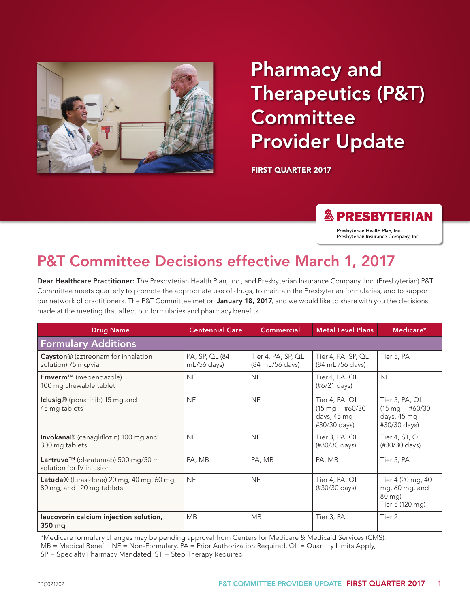

# Pharmacy and Therapeutics (P&T) **Committee** Provider Update

FIRST QUARTER 2017

### **& PRESBYTERIAN**

Presbyterian Health Plan, Inc. Presbyterian Insurance Company, Inc.

## P&T Committee Decisions effective March 1, 2017

Dear Healthcare Practitioner: The Presbyterian Health Plan, Inc., and Presbyterian Insurance Company, Inc. (Presbyterian) P&T Committee meets quarterly to promote the appropriate use of drugs, to maintain the Presbyterian formularies, and to support our network of practitioners. The P&T Committee met on January 18, 2017, and we would like to share with you the decisions made at the meeting that affect our formularies and pharmacy benefits.

| <b>Drug Name</b>                                                            | <b>Centennial Care</b>          | <b>Commercial</b>                     | <b>Metal Level Plans</b>                                                       | Medicare*                                                                    |  |  |  |
|-----------------------------------------------------------------------------|---------------------------------|---------------------------------------|--------------------------------------------------------------------------------|------------------------------------------------------------------------------|--|--|--|
| <b>Formulary Additions</b>                                                  |                                 |                                       |                                                                                |                                                                              |  |  |  |
| Cayston® (aztreonam for inhalation<br>solution) 75 mg/vial                  | PA, SP, QL (84<br>$mL/56$ days) | Tier 4, PA, SP, QL<br>(84 mL/56 days) | Tier 4, PA, SP, QL<br>(84 mL /56 days)                                         | Tier 5, PA                                                                   |  |  |  |
| Emverm™ (mebendazole)<br>100 mg chewable tablet                             | <b>NF</b>                       | <b>NF</b>                             | Tier 4, PA, QL<br>$(\#6/21 \text{ days})$                                      | <b>NF</b>                                                                    |  |  |  |
| Iclusig® (ponatinib) 15 mg and<br>45 mg tablets                             | <b>NF</b>                       | <b>NF</b>                             | Tier 4, PA, QL<br>$(15 \text{ mg} = #60/30)$<br>days, $45$ mg=<br>#30/30 days) | Tier 5, PA, QL<br>$(15 \text{ mg} = #60/30)$<br>days, 45 mg=<br>#30/30 days) |  |  |  |
| <b>Invokana</b> ® (canagliflozin) 100 mg and<br>300 mg tablets              | <b>NF</b>                       | <b>NF</b>                             | Tier 3, PA, QL<br>(#30/30 days)                                                | Tier 4, ST, QL<br>(#30/30 days)                                              |  |  |  |
| Lartruvo <sup>™</sup> (olaratumab) 500 mg/50 mL<br>solution for IV infusion | PA, MB                          | PA, MB                                | PA, MB                                                                         | Tier 5, PA                                                                   |  |  |  |
| Latuda® (lurasidone) 20 mg, 40 mg, 60 mg,<br>80 mg, and 120 mg tablets      | <b>NF</b>                       | <b>NF</b>                             | Tier 4, PA, QL<br>(#30/30 days)                                                | Tier 4 (20 mg, 40<br>mg, 60 mg, and<br>80 mg)<br>Tier 5 (120 mg)             |  |  |  |
| leucovorin calcium injection solution,<br>350 mg                            | <b>MB</b>                       | <b>MB</b>                             | Tier 3, PA                                                                     | Tier 2                                                                       |  |  |  |

\*Medicare formulary changes may be pending approval from Centers for Medicare & Medicaid Services (CMS).

MB = Medical Benefit, NF = Non-Formulary, PA = Prior Authorization Required, QL = Quantity Limits Apply,

SP = Specialty Pharmacy Mandated, ST = Step Therapy Required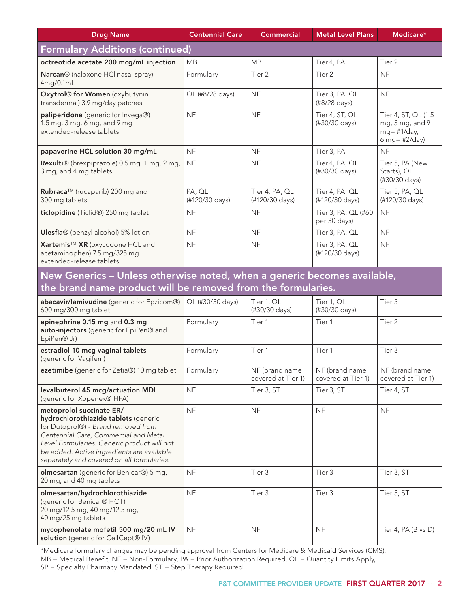| <b>Drug Name</b>                                                                                                                                                                                                                                                                            | <b>Centennial Care</b>   | <b>Commercial</b>                    | <b>Metal Level Plans</b>             | Medicare*                                                                 |  |  |  |
|---------------------------------------------------------------------------------------------------------------------------------------------------------------------------------------------------------------------------------------------------------------------------------------------|--------------------------|--------------------------------------|--------------------------------------|---------------------------------------------------------------------------|--|--|--|
| <b>Formulary Additions (continued)</b>                                                                                                                                                                                                                                                      |                          |                                      |                                      |                                                                           |  |  |  |
| octreotide acetate 200 mcg/mL injection                                                                                                                                                                                                                                                     | <b>MB</b>                | <b>MB</b>                            | Tier 4, PA                           | Tier 2                                                                    |  |  |  |
| Narcan® (naloxone HCl nasal spray)<br>4mg/0.1mL                                                                                                                                                                                                                                             | Formulary                | Tier 2                               | Tier <sub>2</sub>                    | <b>NF</b>                                                                 |  |  |  |
| Oxytrol® for Women (oxybutynin<br>transdermal) 3.9 mg/day patches                                                                                                                                                                                                                           | QL (#8/28 days)          | <b>NF</b>                            | Tier 3, PA, QL<br>(#8/28 days)       | <b>NF</b>                                                                 |  |  |  |
| paliperidone (generic for Invega®)<br>1.5 mg, 3 mg, 6 mg, and 9 mg<br>extended-release tablets                                                                                                                                                                                              | <b>NF</b>                | <b>NF</b>                            | Tier 4, ST, QL<br>(#30/30 days)      | Tier 4, ST, QL (1.5<br>mg, 3 mg, and 9<br>$mg = #1/day,$<br>6 mg= #2/day) |  |  |  |
| papaverine HCL solution 30 mg/mL                                                                                                                                                                                                                                                            | <b>NF</b>                | <b>NF</b>                            | Tier 3, PA                           | <b>NF</b>                                                                 |  |  |  |
| Rexulti® (brexpiprazole) 0.5 mg, 1 mg, 2 mg,<br>3 mg, and 4 mg tablets                                                                                                                                                                                                                      | <b>NF</b>                | <b>NF</b>                            | Tier 4, PA, QL<br>(#30/30 days)      | Tier 5, PA (New<br>Starts), QL<br>(#30/30 days)                           |  |  |  |
| Rubraca™ (rucaparib) 200 mg and<br>300 mg tablets                                                                                                                                                                                                                                           | PA, QL<br>(#120/30 days) | Tier 4, PA, QL<br>(#120/30 days)     | Tier 4, PA, QL<br>(#120/30 days)     | Tier 5, PA, QL<br>(#120/30 days)                                          |  |  |  |
| ticlopidine (Ticlid®) 250 mg tablet                                                                                                                                                                                                                                                         | <b>NF</b>                | <b>NF</b>                            | Tier 3, PA, QL (#60<br>per 30 days)  | <b>NF</b>                                                                 |  |  |  |
| Ulesfia® (benzyl alcohol) 5% lotion                                                                                                                                                                                                                                                         | <b>NF</b>                | <b>NF</b>                            | Tier 3, PA, QL                       | <b>NF</b>                                                                 |  |  |  |
| Xartemis™ XR (oxycodone HCL and<br>acetaminophen) 7.5 mg/325 mg<br>extended-release tablets                                                                                                                                                                                                 | <b>NF</b>                | <b>NF</b>                            | Tier 3, PA, QL<br>(#120/30 days)     | <b>NF</b>                                                                 |  |  |  |
| New Generics - Unless otherwise noted, when a generic becomes available,<br>the brand name product will be removed from the formularies.                                                                                                                                                    |                          |                                      |                                      |                                                                           |  |  |  |
| abacavir/lamivudine (generic for Epzicom®)<br>600 mg/300 mg tablet                                                                                                                                                                                                                          | QL (#30/30 days)         | Tier 1, QL<br>(#30/30 days)          | Tier 1, QL<br>(#30/30 days)          | Tier 5                                                                    |  |  |  |
| epinephrine 0.15 mg and 0.3 mg<br>auto-injectors (generic for EpiPen® and<br>EpiPen® Jr)                                                                                                                                                                                                    | Formulary                | Tier 1                               | Tier 1                               | Tier 2                                                                    |  |  |  |
| estradiol 10 mcg vaginal tablets<br>(generic for Vagifem)                                                                                                                                                                                                                                   | Formulary                | Tier 1                               | Tier 1                               | Tier 3                                                                    |  |  |  |
| ezetimibe (generic for Zetia®) 10 mg tablet                                                                                                                                                                                                                                                 | Formulary                | NF (brand name<br>covered at Tier 1) | NF (brand name<br>covered at Tier 1) | NF (brand name<br>covered at Tier 1)                                      |  |  |  |
| levalbuterol 45 mcg/actuation MDI<br>(generic for Xopenex® HFA)                                                                                                                                                                                                                             | <b>NF</b>                | Tier 3, ST                           | Tier 3, ST                           | Tier 4, ST                                                                |  |  |  |
| metoprolol succinate ER/<br>hydrochlorothiazide tablets (generic<br>for Dutoprol®) - Brand removed from<br>Centennial Care, Commercial and Metal<br>Level Formularies. Generic product will not<br>be added. Active ingredients are available<br>separately and covered on all formularies. | <b>NF</b>                | <b>NF</b>                            | <b>NF</b>                            | <b>NF</b>                                                                 |  |  |  |
| <b>olmesartan</b> (generic for Benicar®) 5 mg,<br>20 mg, and 40 mg tablets                                                                                                                                                                                                                  | <b>NF</b>                | Tier 3                               | Tier 3                               | Tier 3, ST                                                                |  |  |  |
| olmesartan/hydrochlorothiazide<br>(generic for Benicar® HCT)<br>20 mg/12.5 mg, 40 mg/12.5 mg,<br>40 mg/25 mg tablets                                                                                                                                                                        | <b>NF</b>                | Tier 3                               | Tier 3                               | Tier 3, ST                                                                |  |  |  |
| mycophenolate mofetil 500 mg/20 mL IV<br>solution (generic for CellCept® IV)                                                                                                                                                                                                                | <b>NF</b>                | <b>NF</b>                            | <b>NF</b>                            | Tier 4, PA (B vs D)                                                       |  |  |  |

\*Medicare formulary changes may be pending approval from Centers for Medicare & Medicaid Services (CMS). MB = Medical Benefit, NF = Non-Formulary, PA = Prior Authorization Required, QL = Quantity Limits Apply, SP = Specialty Pharmacy Mandated, ST = Step Therapy Required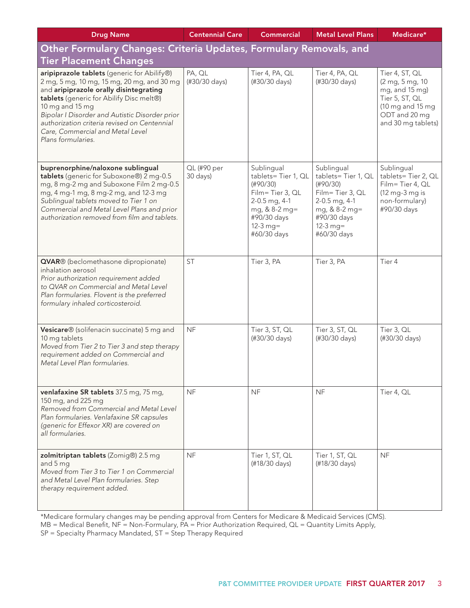| <b>Drug Name</b>                                                                                                                                                                                                                                                                                                                                               | <b>Centennial Care</b>  | <b>Commercial</b>                                                                                                                             | <b>Metal Level Plans</b>                                                                                                                      | Medicare*                                                                                                                        |  |  |
|----------------------------------------------------------------------------------------------------------------------------------------------------------------------------------------------------------------------------------------------------------------------------------------------------------------------------------------------------------------|-------------------------|-----------------------------------------------------------------------------------------------------------------------------------------------|-----------------------------------------------------------------------------------------------------------------------------------------------|----------------------------------------------------------------------------------------------------------------------------------|--|--|
| Other Formulary Changes: Criteria Updates, Formulary Removals, and                                                                                                                                                                                                                                                                                             |                         |                                                                                                                                               |                                                                                                                                               |                                                                                                                                  |  |  |
| <b>Tier Placement Changes</b>                                                                                                                                                                                                                                                                                                                                  |                         |                                                                                                                                               |                                                                                                                                               |                                                                                                                                  |  |  |
| aripiprazole tablets (generic for Abilify®)<br>2 mg, 5 mg, 10 mg, 15 mg, 20 mg, and 30 mg<br>and aripiprazole orally disintegrating<br>tablets (generic for Abilify Disc melt®)<br>10 mg and 15 mg<br>Bipolar I Disorder and Autistic Disorder prior<br>authorization criteria revised on Centennial<br>Care, Commercial and Metal Level<br>Plans formularies. | PA, QL<br>(#30/30 days) | Tier 4, PA, QL<br>(#30/30 days)                                                                                                               | Tier 4, PA, QL<br>(#30/30 days)                                                                                                               | Tier 4, ST, QL<br>(2 mg, 5 mg, 10<br>mg, and 15 mg)<br>Tier 5, ST, QL<br>(10 mg and 15 mg<br>ODT and 20 mg<br>and 30 mg tablets) |  |  |
| buprenorphine/naloxone sublingual<br>tablets (generic for Suboxone®) 2 mg-0.5<br>mg, 8 mg-2 mg and Suboxone Film 2 mg-0.5<br>mg, 4 mg-1 mg, 8 mg-2 mg, and 12-3 mg<br>Sublingual tablets moved to Tier 1 on<br>Commercial and Metal Level Plans and prior<br>authorization removed from film and tablets.                                                      | QL (#90 per<br>30 days) | Sublingual<br>tablets=Tier 1, QL<br>(H90/30)<br>Film=Tier 3, QL<br>2-0.5 mg, 4-1<br>mg, & 8-2 mg=<br>#90/30 days<br>$12-3$ mg=<br>#60/30 days | Sublingual<br>tablets=Tier 1, QL<br>(H90/30)<br>Film=Tier 3, QL<br>2-0.5 mg, 4-1<br>mg, & 8-2 mg=<br>#90/30 days<br>$12-3$ mg=<br>#60/30 days | Sublingual<br>tablets=Tier 2, QL<br>Film=Tier 4, QL<br>(12 mg-3 mg is<br>non-formulary)<br>#90/30 days                           |  |  |
| QVAR® (beclomethasone dipropionate)<br>inhalation aerosol<br>Prior authorization requirement added<br>to QVAR on Commercial and Metal Level<br>Plan formularies. Flovent is the preferred<br>formulary inhaled corticosteroid.                                                                                                                                 | <b>ST</b>               | Tier 3, PA                                                                                                                                    | Tier 3, PA                                                                                                                                    | Tier 4                                                                                                                           |  |  |
| Vesicare® (solifenacin succinate) 5 mg and<br>10 mg tablets<br>Moved from Tier 2 to Tier 3 and step therapy<br>requirement added on Commercial and<br>Metal Level Plan formularies.                                                                                                                                                                            | <b>NF</b>               | Tier 3, ST, QL<br>(#30/30 days)                                                                                                               | Tier 3, ST, QL<br>(#30/30 days)                                                                                                               | Tier 3, QL<br>(#30/30 days)                                                                                                      |  |  |
| venlafaxine SR tablets 37.5 mg, 75 mg,<br>150 mg, and 225 mg<br>Removed from Commercial and Metal Level<br>Plan formularies. Venlafaxine SR capsules<br>(generic for Effexor XR) are covered on<br>all formularies.                                                                                                                                            | <b>NF</b>               | <b>NF</b>                                                                                                                                     | <b>NF</b>                                                                                                                                     | Tier 4, QL                                                                                                                       |  |  |
| zolmitriptan tablets (Zomig®) 2.5 mg<br>and 5 mg<br>Moved from Tier 3 to Tier 1 on Commercial<br>and Metal Level Plan formularies. Step<br>therapy requirement added.                                                                                                                                                                                          | <b>NF</b>               | Tier 1, ST, QL<br>(#18/30 days)                                                                                                               | Tier 1, ST, QL<br>(#18/30 days)                                                                                                               | <b>NF</b>                                                                                                                        |  |  |

\*Medicare formulary changes may be pending approval from Centers for Medicare & Medicaid Services (CMS).

MB = Medical Benefit, NF = Non-Formulary, PA = Prior Authorization Required, QL = Quantity Limits Apply,

SP = Specialty Pharmacy Mandated, ST = Step Therapy Required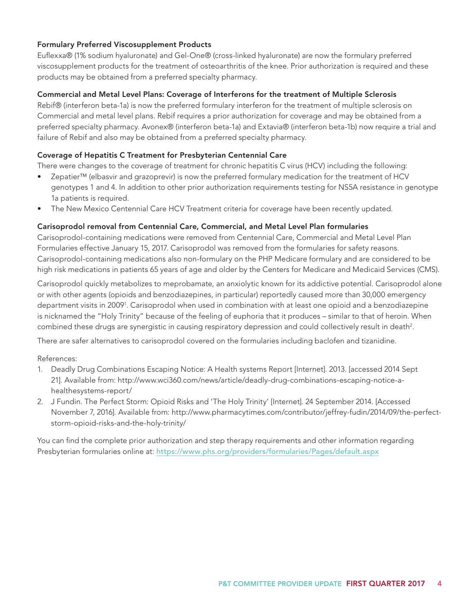#### Formulary Preferred Viscosupplement Products

Euflexxa® (1% sodium hyaluronate) and Gel-One® (cross-linked hyaluronate) are now the formulary preferred viscosupplement products for the treatment of osteoarthritis of the knee. Prior authorization is required and these products may be obtained from a preferred specialty pharmacy.

#### Commercial and Metal Level Plans: Coverage of Interferons for the treatment of Multiple Sclerosis

Rebif® (interferon beta-1a) is now the preferred formulary interferon for the treatment of multiple sclerosis on Commercial and metal level plans. Rebif requires a prior authorization for coverage and may be obtained from a preferred specialty pharmacy. Avonex® (interferon beta-1a) and Extavia® (interferon beta-1b) now require a trial and failure of Rebif and also may be obtained from a preferred specialty pharmacy.

#### Coverage of Hepatitis C Treatment for Presbyterian Centennial Care

There were changes to the coverage of treatment for chronic hepatitis C virus (HCV) including the following:

- Zepatier™ (elbasvir and grazoprevir) is now the preferred formulary medication for the treatment of HCV genotypes 1 and 4. In addition to other prior authorization requirements testing for NS5A resistance in genotype 1a patients is required.
- The New Mexico Centennial Care HCV Treatment criteria for coverage have been recently updated.

#### Carisoprodol removal from Centennial Care, Commercial, and Metal Level Plan formularies

Carisoprodol-containing medications were removed from Centennial Care, Commercial and Metal Level Plan Formularies effective January 15, 2017. Carisoprodol was removed from the formularies for safety reasons. Carisoprodol-containing medications also non-formulary on the PHP Medicare formulary and are considered to be high risk medications in patients 65 years of age and older by the Centers for Medicare and Medicaid Services (CMS).

Carisoprodol quickly metabolizes to meprobamate, an anxiolytic known for its addictive potential. Carisoprodol alone or with other agents (opioids and benzodiazepines, in particular) reportedly caused more than 30,000 emergency department visits in 20091 . Carisoprodol when used in combination with at least one opioid and a benzodiazepine is nicknamed the "Holy Trinity" because of the feeling of euphoria that it produces – similar to that of heroin. When combined these drugs are synergistic in causing respiratory depression and could collectively result in death<sup>2</sup>.

There are safer alternatives to carisoprodol covered on the formularies including baclofen and tizanidine.

References:

- 1. Deadly Drug Combinations Escaping Notice: A Health systems Report [Internet]. 2013. [accessed 2014 Sept 21]. Available from: http://www.wci360.com/news/article/deadly-drug-combinations-escaping-notice-ahealthesystems-report/
- 2. J Fundin. The Perfect Storm: Opioid Risks and 'The Holy Trinity' [Internet]. 24 September 2014. [Accessed November 7, 2016]. Available from: http://www.pharmacytimes.com/contributor/jeffrey-fudin/2014/09/the-perfectstorm-opioid-risks-and-the-holy-trinity/

You can find the complete prior authorization and step therapy requirements and other information regarding Presbyterian formularies online at: https://www.phs.org/providers/formularies/Pages/default.aspx